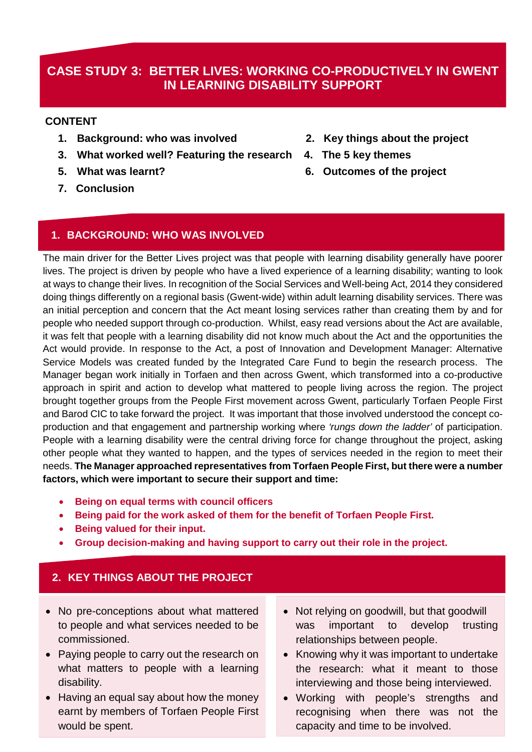# **CASE STUDY 3: BETTER LIVES: WORKING CO-PRODUCTIVELY IN GWENT IN LEARNING DISABILITY SUPPORT**

#### **CONTENT**

- **1. Background: who was involved 2. Key things about the project**
- **3. What worked well? Featuring the research 4. The 5 key themes**
- 
- **7. Conclusion**
- 
- 
- **5. What was learnt? 6. Outcomes of the project**

## **1. BACKGROUND: WHO WAS INVOLVED**

The main driver for the Better Lives project was that people with learning disability generally have poorer lives. The project is driven by people who have a lived experience of a learning disability; wanting to look at ways to change their lives. In recognition of the Social Services and Well-being Act, 2014 they considered doing things differently on a regional basis (Gwent-wide) within adult learning disability services. There was an initial perception and concern that the Act meant losing services rather than creating them by and for people who needed support through co-production. Whilst, easy read versions about the Act are available, it was felt that people with a learning disability did not know much about the Act and the opportunities the Act would provide. In response to the Act, a post of Innovation and Development Manager: Alternative Service Models was created funded by the Integrated Care Fund to begin the research process. The Manager began work initially in Torfaen and then across Gwent, which transformed into a co-productive approach in spirit and action to develop what mattered to people living across the region. The project brought together groups from the People First movement across Gwent, particularly Torfaen People First and Barod CIC to take forward the project. It was important that those involved understood the concept coproduction and that engagement and partnership working where *'rungs down the ladder'* of participation. People with a learning disability were the central driving force for change throughout the project, asking other people what they wanted to happen, and the types of services needed in the region to meet their needs. **The Manager approached representatives from Torfaen People First, but there were a number factors, which were important to secure their support and time:**

- **Being on equal terms with council officers**
- **Being paid for the work asked of them for the benefit of Torfaen People First.**
- **Being valued for their input.**
- **Group decision-making and having support to carry out their role in the project.**

## **2. KEY THINGS ABOUT THE PROJECT**

- No pre-conceptions about what mattered to people and what services needed to be commissioned.
- Paying people to carry out the research on what matters to people with a learning disability.
- Having an equal say about how the money earnt by members of Torfaen People First would be spent.
- Not relying on goodwill, but that goodwill was important to develop trusting relationships between people.
- Knowing why it was important to undertake the research: what it meant to those interviewing and those being interviewed.
- Working with people's strengths and recognising when there was not the capacity and time to be involved.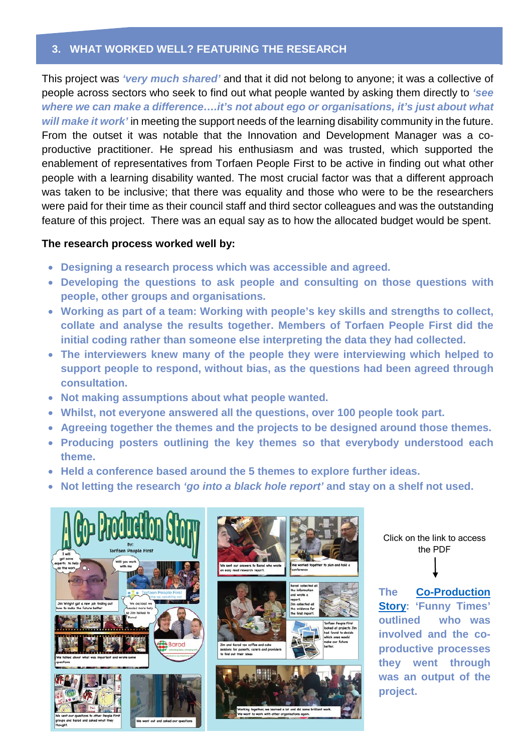## **3. WHAT WORKED WELL? FEATURING THE RESEARCH**

This project was *'very much shared'* and that it did not belong to anyone; it was a collective of people across sectors who seek to find out what people wanted by asking them directly to *'see where we can make a difference….it's not about ego or organisations, it's just about what will make it work'* in meeting the support needs of the learning disability community in the future. From the outset it was notable that the Innovation and Development Manager was a coproductive practitioner. He spread his enthusiasm and was trusted, which supported the enablement of representatives from Torfaen People First to be active in finding out what other people with a learning disability wanted. The most crucial factor was that a different approach was taken to be inclusive; that there was equality and those who were to be the researchers were paid for their time as their council staff and third sector colleagues and was the outstanding feature of this project. There was an equal say as to how the allocated budget would be spent.

#### **The research process worked well by:**

- **Designing a research process which was accessible and agreed.**
- **Developing the questions to ask people and consulting on those questions with people, other groups and organisations.**
- **Working as part of a team: Working with people's key skills and strengths to collect, collate and analyse the results together. Members of Torfaen People First did the initial coding rather than someone else interpreting the data they had collected.**
- **The interviewers knew many of the people they were interviewing which helped to support people to respond, without bias, as the questions had been agreed through consultation.**
- **Not making assumptions about what people wanted.**
- **Whilst, not everyone answered all the questions, over 100 people took part.**
- **Agreeing together the themes and the projects to be designed around those themes.**
- **Producing posters outlining the key themes so that everybody understood each theme.**
- **Held a conference based around the 5 themes to explore further ideas.**
- **Not letting the research** *'go into a black hole report'* **and stay on a shelf not used.**



Click on the link to access the PDF

**The [Co-Production](file://mania.wcva.org.uk/U%20Drives/dcook/Case%20Studies/Gwent%20TPF%20and%20Barod/Funny%20Times%202.pdf)  [Story:](file://mania.wcva.org.uk/U%20Drives/dcook/Case%20Studies/Gwent%20TPF%20and%20Barod/Funny%20Times%202.pdf) 'Funny Times' outlined who was involved and the coproductive processes they went through was an output of the project.**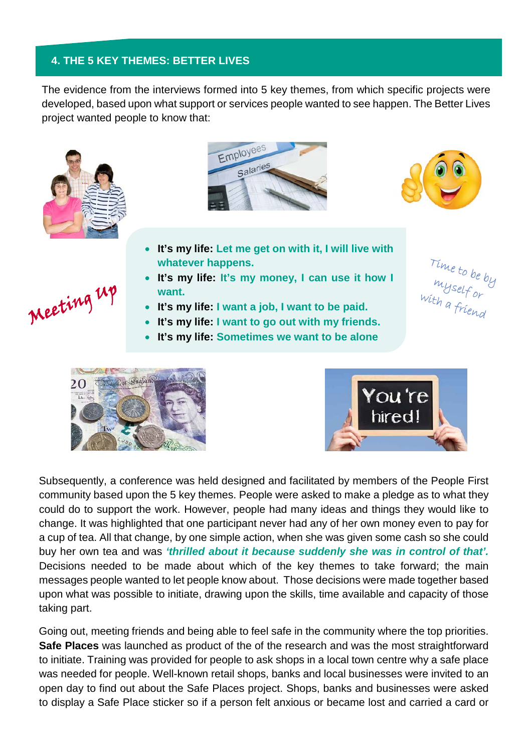## **4. THE 5 KEY THEMES: BETTER LIVES**

The evidence from the interviews formed into 5 key themes, from which specific projects were developed, based upon what support or services people wanted to see happen. The Better Lives project wanted people to know that:



Meeting up





- **It's my life: Let me get on with it, I will live with whatever happens.**
- **It's my life: It's my money, I can use it how I want.**
- **It's my life: I want a job, I want to be paid.**
- **It's my life: I want to go out with my friends.**
- **It's my life: Sometimes we want to be alone**

Time to be by<br>myself or<br>with a friend





Subsequently, a conference was held designed and facilitated by members of the People First community based upon the 5 key themes. People were asked to make a pledge as to what they could do to support the work. However, people had many ideas and things they would like to change. It was highlighted that one participant never had any of her own money even to pay for a cup of tea. All that change, by one simple action, when she was given some cash so she could buy her own tea and was *'thrilled about it because suddenly she was in control of that'.* Decisions needed to be made about which of the key themes to take forward; the main messages people wanted to let people know about. Those decisions were made together based upon what was possible to initiate, drawing upon the skills, time available and capacity of those taking part.

Going out, meeting friends and being able to feel safe in the community where the top priorities. **Safe Places** was launched as product of the of the research and was the most straightforward to initiate. Training was provided for people to ask shops in a local town centre why a safe place was needed for people. Well-known retail shops, banks and local businesses were invited to an open day to find out about the Safe Places project. Shops, banks and businesses were asked to display a Safe Place sticker so if a person felt anxious or became lost and carried a card or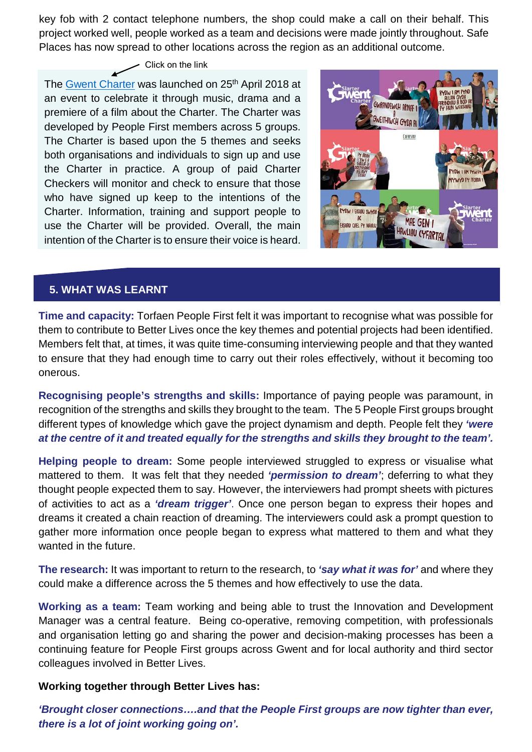key fob with 2 contact telephone numbers, the shop could make a call on their behalf. This project worked well, people worked as a team and decisions were made jointly throughout. Safe Places has now spread to other locations across the region as an additional outcome.

# $\overline{\phantom{a}}$  Click on the link

The [Gwent Charter](file://mania.wcva.org.uk/U%20Drives/dcook/Case%20Studies/Gwent%20TPF%20and%20Barod/Gwent%20Charter%20BILINGUAL%20FINAL%20(004)%20(002).pdf) was launched on 25<sup>th</sup> April 2018 at an event to celebrate it through music, drama and a premiere of a film about the Charter. The Charter was developed by People First members across 5 groups. The Charter is based upon the 5 themes and seeks both organisations and individuals to sign up and use the Charter in practice. A group of paid Charter Checkers will monitor and check to ensure that those who have signed up keep to the intentions of the Charter. Information, training and support people to use the Charter will be provided. Overall, the main intention of the Charter is to ensure their voice is heard.



## **5. WHAT WAS LEARNT**

**Time and capacity:** Torfaen People First felt it was important to recognise what was possible for them to contribute to Better Lives once the key themes and potential projects had been identified. Members felt that, at times, it was quite time-consuming interviewing people and that they wanted to ensure that they had enough time to carry out their roles effectively, without it becoming too onerous.

**Recognising people's strengths and skills:** Importance of paying people was paramount, in recognition of the strengths and skills they brought to the team. The 5 People First groups brought different types of knowledge which gave the project dynamism and depth. People felt they *'were at the centre of it and treated equally for the strengths and skills they brought to the team'.*

**Helping people to dream:** Some people interviewed struggled to express or visualise what mattered to them. It was felt that they needed *'permission to dream'*; deferring to what they thought people expected them to say. However, the interviewers had prompt sheets with pictures of activities to act as a *'dream trigger'*. Once one person began to express their hopes and dreams it created a chain reaction of dreaming. The interviewers could ask a prompt question to gather more information once people began to express what mattered to them and what they wanted in the future.

**The research:** It was important to return to the research, to *'say what it was for'* and where they could make a difference across the 5 themes and how effectively to use the data.

**Working as a team:** Team working and being able to trust the Innovation and Development Manager was a central feature. Being co-operative, removing competition, with professionals and organisation letting go and sharing the power and decision-making processes has been a continuing feature for People First groups across Gwent and for local authority and third sector colleagues involved in Better Lives.

#### **Working together through Better Lives has:**

*'Brought closer connections….and that the People First groups are now tighter than ever, there is a lot of joint working going on'.*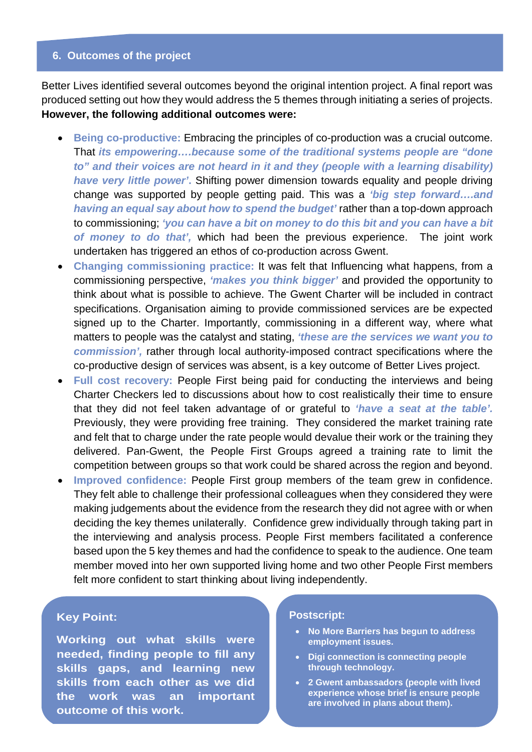#### **6. Outcomes of the project**

Better Lives identified several outcomes beyond the original intention project. A final report was produced setting out how they would address the 5 themes through initiating a series of projects. **However, the following additional outcomes were:**

- **Being co-productive:** Embracing the principles of co-production was a crucial outcome. That *its empowering….because some of the traditional systems people are "done to" and their voices are not heard in it and they (people with a learning disability) have very little power'***.** Shifting power dimension towards equality and people driving change was supported by people getting paid. This was a *'big step forward….and having an equal say about how to spend the budget'* rather than a top-down approach to commissioning; *'you can have a bit on money to do this bit and you can have a bit of money to do that',* which had been the previous experience. The joint work undertaken has triggered an ethos of co-production across Gwent.
- **Changing commissioning practice:** It was felt that Influencing what happens, from a commissioning perspective, *'makes you think bigger'* and provided the opportunity to think about what is possible to achieve. The Gwent Charter will be included in contract specifications. Organisation aiming to provide commissioned services are be expected signed up to the Charter. Importantly, commissioning in a different way, where what matters to people was the catalyst and stating, *'these are the services we want you to commission',* rather through local authority-imposed contract specifications where the co-productive design of services was absent, is a key outcome of Better Lives project.
- **Full cost recovery:** People First being paid for conducting the interviews and being Charter Checkers led to discussions about how to cost realistically their time to ensure that they did not feel taken advantage of or grateful to *'have a seat at the table'.*  Previously, they were providing free training. They considered the market training rate and felt that to charge under the rate people would devalue their work or the training they delivered. Pan-Gwent, the People First Groups agreed a training rate to limit the competition between groups so that work could be shared across the region and beyond.
- **Improved confidence:** People First group members of the team grew in confidence. They felt able to challenge their professional colleagues when they considered they were making judgements about the evidence from the research they did not agree with or when deciding the key themes unilaterally. Confidence grew individually through taking part in the interviewing and analysis process. People First members facilitated a conference based upon the 5 key themes and had the confidence to speak to the audience. One team member moved into her own supported living home and two other People First members felt more confident to start thinking about living independently.

#### **Key Point:**

**Working out what skills were needed, finding people to fill any skills gaps, and learning new skills from each other as we did the work was an important outcome of this work.**

#### **Postscript:**

- **No More Barriers has begun to address employment issues.**
- **Digi connection is connecting people through technology.**
- **2 Gwent ambassadors (people with lived experience whose brief is ensure people are involved in plans about them).**